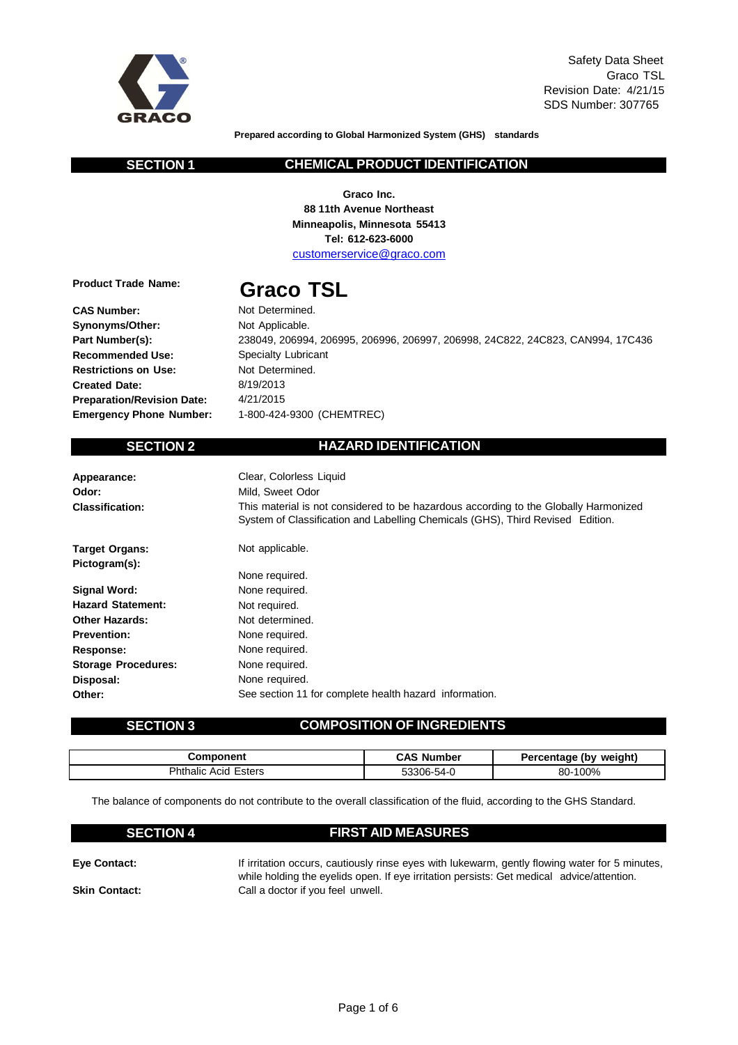

**Prepared according to Global Harmonized System (GHS) standards**

### **SECTION 1 CHEMICAL PRODUCT IDENTIFICATION**

**Graco Inc. 88 11th Avenue Northeast Minneapolis, Minnesota 55413 Tel: 612-623-6000** customerservice@graco.com

**Product Trade Name:**

**CAS Number: Synonyms/Other: Part Number(s): Recommended Use: Restrictions on Use: Created Date:**

# **Graco TSL**

Not Determined. Not Applicable. 238049, 206994, 206995, 206996, 206997, 206998, 24C822, 24C823, CAN994, 17C436 Specialty Lubricant Not Determined. 8/19/2013 4/21/2015 1-800-424-9300 (CHEMTREC)

**Preparation/Revision Date: Emergency Phone Number:**

## **SECTION 2 HAZARD IDENTIFICATION**

| Appearance:<br>Odor:<br><b>Classification:</b> | Clear, Colorless Liquid<br>Mild. Sweet Odor<br>This material is not considered to be hazardous according to the Globally Harmonized<br>System of Classification and Labelling Chemicals (GHS), Third Revised Edition. |
|------------------------------------------------|-----------------------------------------------------------------------------------------------------------------------------------------------------------------------------------------------------------------------|
| <b>Target Organs:</b>                          | Not applicable.                                                                                                                                                                                                       |
| Pictogram(s):                                  |                                                                                                                                                                                                                       |
|                                                | None required.                                                                                                                                                                                                        |
| Signal Word:                                   | None required.                                                                                                                                                                                                        |
| <b>Hazard Statement:</b>                       | Not required.                                                                                                                                                                                                         |
| <b>Other Hazards:</b>                          | Not determined.                                                                                                                                                                                                       |
| <b>Prevention:</b>                             | None required.                                                                                                                                                                                                        |
| Response:                                      | None required.                                                                                                                                                                                                        |
| <b>Storage Procedures:</b>                     | None required.                                                                                                                                                                                                        |
| Disposal:                                      | None required.                                                                                                                                                                                                        |
| Other:                                         | See section 11 for complete health hazard information.                                                                                                                                                                |

## **SECTION 3 COMPOSITION OF INGREDIENTS**

| Component                  | CAS.<br>Number | weiaht)<br>Percentage (bv |
|----------------------------|----------------|---------------------------|
| `hthalic<br>Esters<br>Acid | 53306-54-0     | 80-100%                   |

The balance of components do not contribute to the overall classification of the fluid, according to the GHS Standard.

| <b>SECTION 4</b> | <b>FIRST AID MEASURES</b> |
|------------------|---------------------------|
|------------------|---------------------------|

| Eye Contact:         | If irritation occurs, cautiously rinse eyes with lukewarm, gently flowing water for 5 minutes, |
|----------------------|------------------------------------------------------------------------------------------------|
|                      | while holding the eyelids open. If eye irritation persists: Get medical advice/attention.      |
| <b>Skin Contact:</b> | Call a doctor if you feel unwell.                                                              |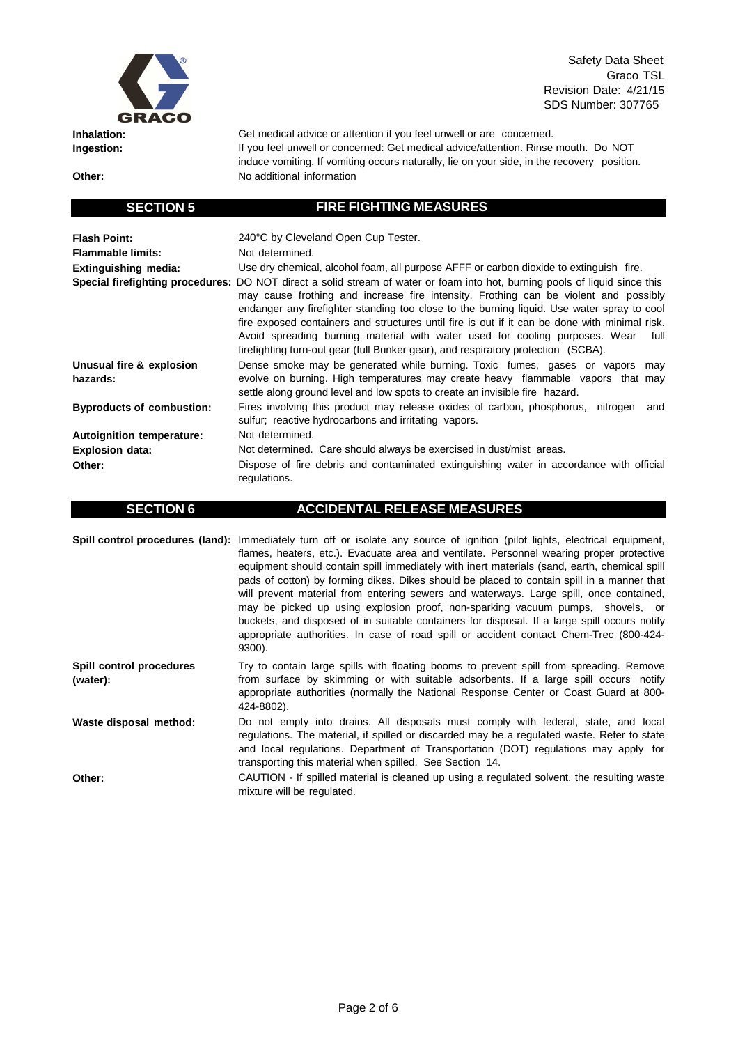

**Inhalation: Ingestion:**

**Other:**

Safety Data Sheet Graco TSL Revision Date: 4/21/15 SDS Number: 307765

Get medical advice or attention if you feel unwell or are concerned. If you feel unwell or concerned: Get medical advice/attention. Rinse mouth. Do NOT induce vomiting. If vomiting occurs naturally, lie on your side, in the recovery position. No additional information

### **Flash Point: Flammable limits: Extinguishing media:** 240°C by Cleveland Open Cup Tester. Not determined. Use dry chemical, alcohol foam, all purpose AFFF or carbon dioxide to extinguish fire. **Special firefighting procedures:** DO NOT direct a solid stream of water or foam into hot, burning pools of liquid since this may cause frothing and increase fire intensity. Frothing can be violent and possibly endanger any firefighter standing too close to the burning liquid. Use water spray to cool fire exposed containers and structures until fire is out if it can be done with minimal risk. Avoid spreading burning material with water used for cooling purposes. Wear full firefighting turn-out gear (full Bunker gear), and respiratory protection (SCBA). **Unusual fire & explosion hazards: Byproducts of combustion: Autoignition temperature: Explosion data: Other:** Dense smoke may be generated while burning. Toxic fumes, gases or vapors may evolve on burning. High temperatures may create heavy flammable vapors that may settle along ground level and low spots to create an invisible fire hazard. Fires involving this product may release oxides of carbon, phosphorus, nitrogen and sulfur; reactive hydrocarbons and irritating vapors. Not determined. Not determined. Care should always be exercised in dust/mist areas. Dispose of fire debris and contaminated extinguishing water in accordance with official regulations.

**SECTION 5 FIRE FIGHTING MEASURES**

|                                      | Spill control procedures (land): Immediately turn off or isolate any source of ignition (pilot lights, electrical equipment,<br>flames, heaters, etc.). Evacuate area and ventilate. Personnel wearing proper protective<br>equipment should contain spill immediately with inert materials (sand, earth, chemical spill<br>pads of cotton) by forming dikes. Dikes should be placed to contain spill in a manner that<br>will prevent material from entering sewers and waterways. Large spill, once contained,<br>may be picked up using explosion proof, non-sparking vacuum pumps, shovels, or<br>buckets, and disposed of in suitable containers for disposal. If a large spill occurs notify<br>appropriate authorities. In case of road spill or accident contact Chem-Trec (800-424-<br>9300). |
|--------------------------------------|--------------------------------------------------------------------------------------------------------------------------------------------------------------------------------------------------------------------------------------------------------------------------------------------------------------------------------------------------------------------------------------------------------------------------------------------------------------------------------------------------------------------------------------------------------------------------------------------------------------------------------------------------------------------------------------------------------------------------------------------------------------------------------------------------------|
| Spill control procedures<br>(water): | Try to contain large spills with floating booms to prevent spill from spreading. Remove<br>from surface by skimming or with suitable adsorbents. If a large spill occurs notify<br>appropriate authorities (normally the National Response Center or Coast Guard at 800-<br>424-8802).                                                                                                                                                                                                                                                                                                                                                                                                                                                                                                                 |
| Waste disposal method:               | Do not empty into drains. All disposals must comply with federal, state, and local<br>regulations. The material, if spilled or discarded may be a regulated waste. Refer to state<br>and local regulations. Department of Transportation (DOT) regulations may apply for<br>transporting this material when spilled. See Section 14.                                                                                                                                                                                                                                                                                                                                                                                                                                                                   |
| Other:                               | CAUTION - If spilled material is cleaned up using a regulated solvent, the resulting waste<br>mixture will be regulated.                                                                                                                                                                                                                                                                                                                                                                                                                                                                                                                                                                                                                                                                               |

**SECTION 6 ACCIDENTAL RELEASE MEASURES**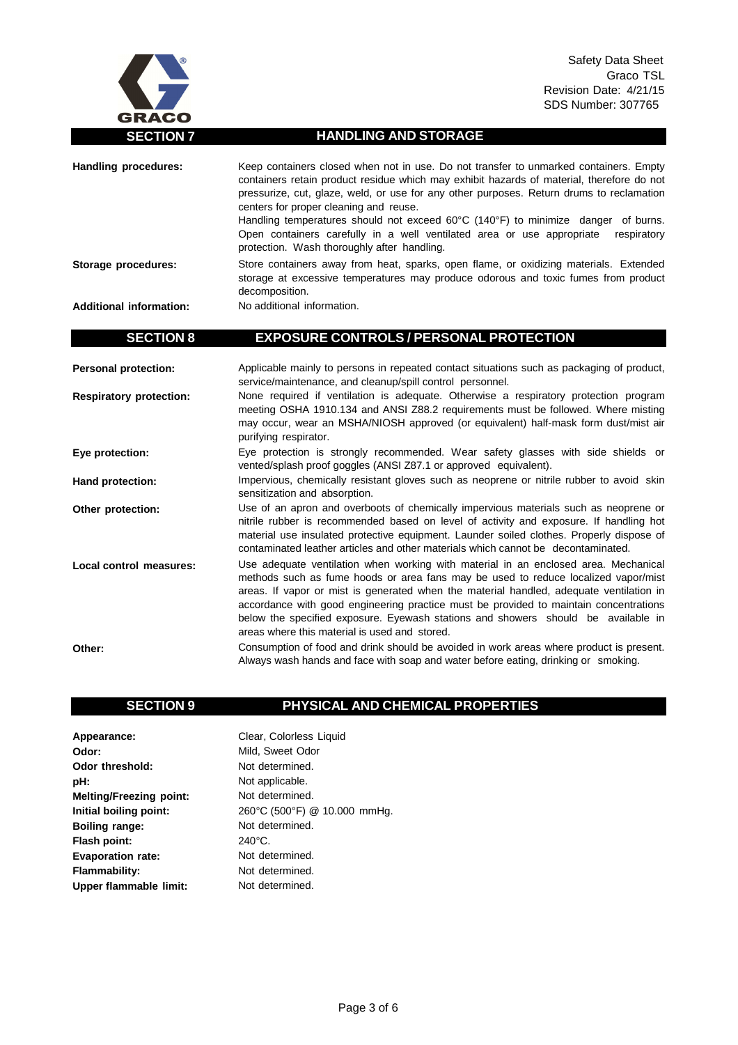

## **SECTION 7 HANDLING AND STORAGE**

| <b>Handling procedures:</b>    | Keep containers closed when not in use. Do not transfer to unmarked containers. Empty<br>containers retain product residue which may exhibit hazards of material, therefore do not<br>pressurize, cut, glaze, weld, or use for any other purposes. Return drums to reclamation<br>centers for proper cleaning and reuse.<br>Handling temperatures should not exceed 60°C (140°F) to minimize danger of burns.<br>Open containers carefully in a well ventilated area or use appropriate<br>respiratory<br>protection. Wash thoroughly after handling. |
|--------------------------------|-------------------------------------------------------------------------------------------------------------------------------------------------------------------------------------------------------------------------------------------------------------------------------------------------------------------------------------------------------------------------------------------------------------------------------------------------------------------------------------------------------------------------------------------------------|
| Storage procedures:            | Store containers away from heat, sparks, open flame, or oxidizing materials. Extended<br>storage at excessive temperatures may produce odorous and toxic fumes from product<br>decomposition.                                                                                                                                                                                                                                                                                                                                                         |
| <b>Additional information:</b> | No additional information.                                                                                                                                                                                                                                                                                                                                                                                                                                                                                                                            |
| <b>SECTION 8</b>               | <b>EXPOSURE CONTROLS / PERSONAL PROTECTION</b>                                                                                                                                                                                                                                                                                                                                                                                                                                                                                                        |
| <b>Personal protection:</b>    | Applicable mainly to persons in repeated contact situations such as packaging of product,<br>service/maintenance, and cleanup/spill control personnel.                                                                                                                                                                                                                                                                                                                                                                                                |
| <b>Respiratory protection:</b> | None required if ventilation is adequate. Otherwise a respiratory protection program<br>meeting OSHA 1910.134 and ANSI Z88.2 requirements must be followed. Where misting<br>may occur, wear an MSHA/NIOSH approved (or equivalent) half-mask form dust/mist air<br>purifying respirator.                                                                                                                                                                                                                                                             |
| Eye protection:                | Eye protection is strongly recommended. Wear safety glasses with side shields or<br>vented/splash proof goggles (ANSI Z87.1 or approved equivalent).                                                                                                                                                                                                                                                                                                                                                                                                  |
| Hand protection:               | Impervious, chemically resistant gloves such as neoprene or nitrile rubber to avoid skin<br>sensitization and absorption.                                                                                                                                                                                                                                                                                                                                                                                                                             |
| Other protection:              | Use of an apron and overboots of chemically impervious materials such as neoprene or<br>nitrile rubber is recommended based on level of activity and exposure. If handling hot<br>material use insulated protective equipment. Launder soiled clothes. Properly dispose of<br>contaminated leather articles and other materials which cannot be decontaminated.                                                                                                                                                                                       |
| <b>Local control measures:</b> | Use adequate ventilation when working with material in an enclosed area. Mechanical<br>methods such as fume hoods or area fans may be used to reduce localized vapor/mist<br>areas. If vapor or mist is generated when the material handled, adequate ventilation in<br>accordance with good engineering practice must be provided to maintain concentrations<br>below the specified exposure. Eyewash stations and showers should be available in<br>areas where this material is used and stored.                                                   |
| Other:                         | Consumption of food and drink should be avoided in work areas where product is present.<br>Always wash hands and face with soap and water before eating, drinking or smoking.                                                                                                                                                                                                                                                                                                                                                                         |

## **SECTION 9 PHYSICAL AND CHEMICAL PROPERTIES**

**Appearance: Odor: Odor threshold: pH: Melting/Freezing point: Initial boiling point: Boiling range: Flash point: Evaporation rate: Flammability: Upper flammable limit:** Clear, Colorless Liquid Mild, Sweet Odor Not determined. Not applicable. Not determined. 260°C (500°F) @ 10.000 mmHg. Not determined. 240°C. Not determined. Not determined. Not determined.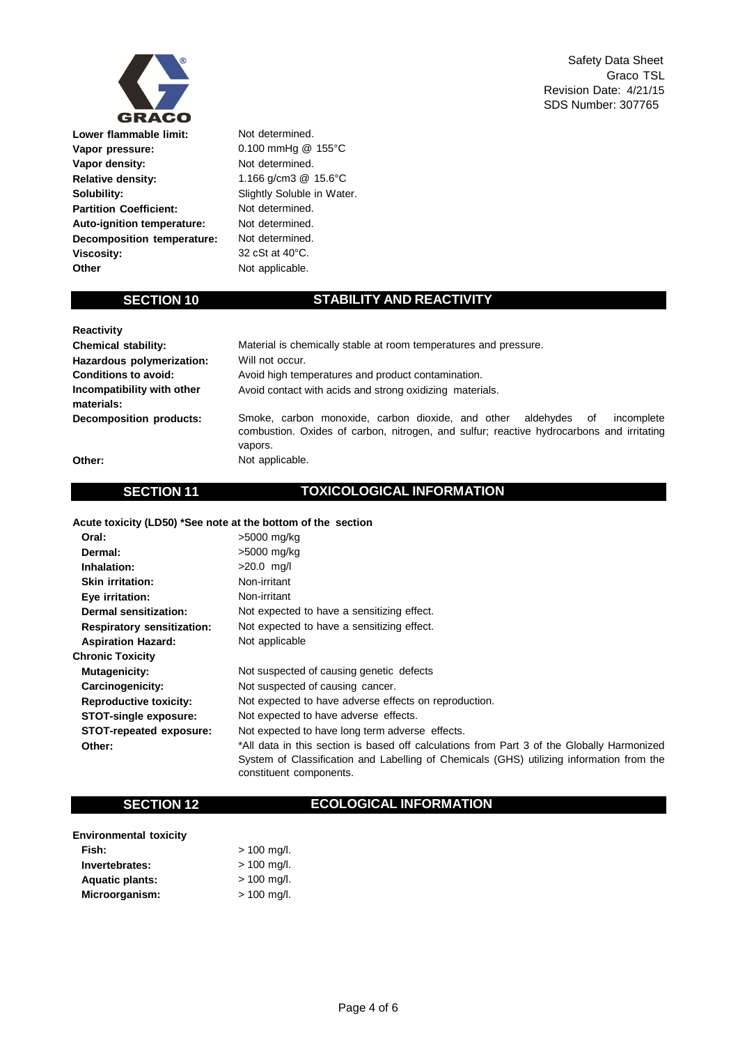

**Lower flammable limit: Vapor pressure: Vapor density: Relative density: Solubility: Partition Coefficient: Auto-ignition temperature: Decomposition temperature: Viscosity: Other**

Not determined. 0.100 mmHg @ 155°C Not determined. 1.166 g/cm3 @ 15.6°C Slightly Soluble in Water. Not determined. Not determined. Not determined. 32 cSt at 40°C. Not applicable.

## **SECTION 10 STABILITY AND REACTIVITY**

| <b>Reactivity</b>                        |                                                                                                                                                                                           |  |  |
|------------------------------------------|-------------------------------------------------------------------------------------------------------------------------------------------------------------------------------------------|--|--|
| <b>Chemical stability:</b>               | Material is chemically stable at room temperatures and pressure.                                                                                                                          |  |  |
| Hazardous polymerization:                | Will not occur.                                                                                                                                                                           |  |  |
| <b>Conditions to avoid:</b>              | Avoid high temperatures and product contamination.                                                                                                                                        |  |  |
| Incompatibility with other<br>materials: | Avoid contact with acids and strong oxidizing materials.                                                                                                                                  |  |  |
| <b>Decomposition products:</b>           | Smoke, carbon monoxide, carbon dioxide, and other<br>aldehvdes<br>incomplete<br>οf<br>combustion. Oxides of carbon, nitrogen, and sulfur; reactive hydrocarbons and irritating<br>vapors. |  |  |
| Other:                                   | Not applicable.                                                                                                                                                                           |  |  |

### **Other:**

## **SECTION 11 TOXICOLOGICAL INFORMATION**

**Acute toxicity (LD50) \*See note at the bottom of the section**

| Oral:                             | >5000 mg/kg                                                                                                                                                                                                       |
|-----------------------------------|-------------------------------------------------------------------------------------------------------------------------------------------------------------------------------------------------------------------|
| Dermal:                           | >5000 mg/kg                                                                                                                                                                                                       |
| Inhalation:                       | $>20.0$ mg/l                                                                                                                                                                                                      |
| <b>Skin irritation:</b>           | Non-irritant                                                                                                                                                                                                      |
| Eye irritation:                   | Non-irritant                                                                                                                                                                                                      |
| Dermal sensitization:             | Not expected to have a sensitizing effect.                                                                                                                                                                        |
| <b>Respiratory sensitization:</b> | Not expected to have a sensitizing effect.                                                                                                                                                                        |
| <b>Aspiration Hazard:</b>         | Not applicable                                                                                                                                                                                                    |
| <b>Chronic Toxicity</b>           |                                                                                                                                                                                                                   |
| <b>Mutagenicity:</b>              | Not suspected of causing genetic defects                                                                                                                                                                          |
| Carcinogenicity:                  | Not suspected of causing cancer.                                                                                                                                                                                  |
| <b>Reproductive toxicity:</b>     | Not expected to have adverse effects on reproduction.                                                                                                                                                             |
| <b>STOT-single exposure:</b>      | Not expected to have adverse effects.                                                                                                                                                                             |
| STOT-repeated exposure:           | Not expected to have long term adverse effects.                                                                                                                                                                   |
| Other:                            | *All data in this section is based off calculations from Part 3 of the Globally Harmonized<br>System of Classification and Labelling of Chemicals (GHS) utilizing information from the<br>constituent components. |

## **SECTION 12 ECOLOGICAL INFORMATION**

| <b>Environmental toxicity</b> |               |
|-------------------------------|---------------|
| Fish:                         | $> 100$ mg/l. |
| Invertebrates:                | $> 100$ mg/l. |
| <b>Aquatic plants:</b>        | $> 100$ mg/l. |
| Microorganism:                | $> 100$ mg/l. |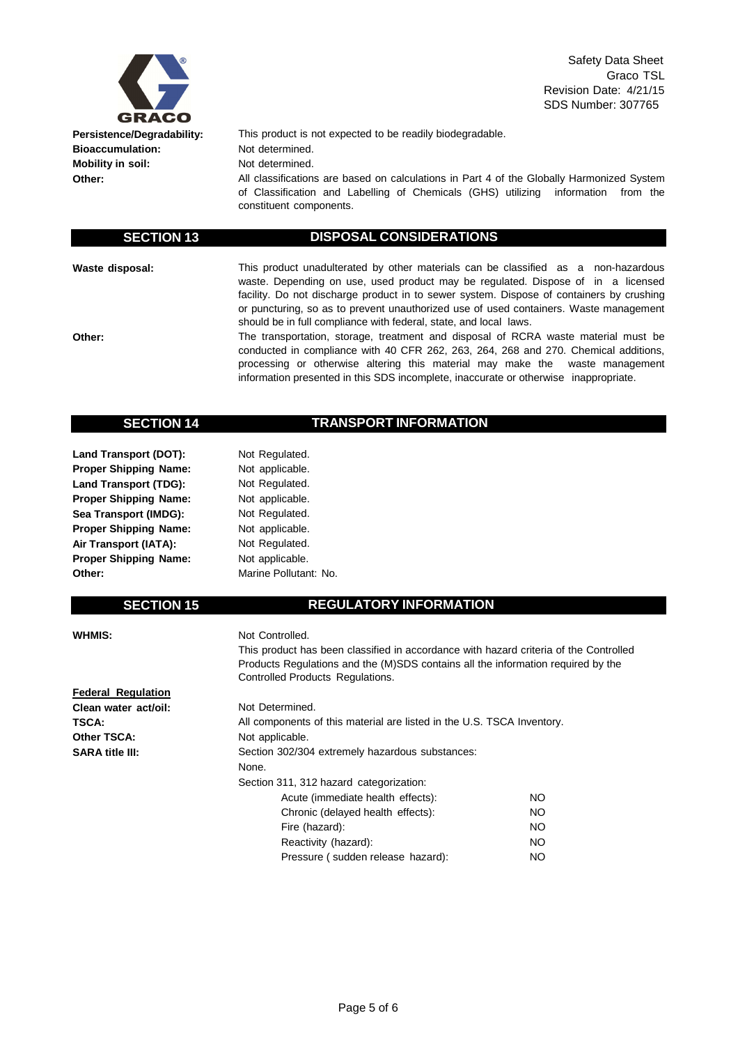

**Persistence/Degradability: Bioaccumulation: Mobility in soil: Other:**

This product is not expected to be readily biodegradable. Not determined. Not determined.

All classifications are based on calculations in Part 4 of the Globally Harmonized System of Classification and Labelling of Chemicals (GHS) utilizing information from the constituent components.

## **SECTION 13 DISPOSAL CONSIDERATIONS**

**Waste disposal:**

**Other:**

This product unadulterated by other materials can be classified as a non-hazardous waste. Depending on use, used product may be regulated. Dispose of in a licensed facility. Do not discharge product in to sewer system. Dispose of containers by crushing or puncturing, so as to prevent unauthorized use of used containers. Waste management should be in full compliance with federal, state, and local laws.

The transportation, storage, treatment and disposal of RCRA waste material must be conducted in compliance with 40 CFR 262, 263, 264, 268 and 270. Chemical additions, processing or otherwise altering this material may make the waste management information presented in this SDS incomplete, inaccurate or otherwise inappropriate.

## **SECTION 14 TRANSPORT INFORMATION**

**Land Transport (DOT): Proper Shipping Name: Land Transport (TDG): Proper Shipping Name: Sea Transport (IMDG): Proper Shipping Name: Air Transport (IATA): Proper Shipping Name: Other:**

Not applicable. Not Regulated. Not applicable. Not Regulated. Not applicable. Not Regulated. Not applicable. Marine Pollutant: No.

Not Regulated.

## **SECTION 15 REGULATORY INFORMATION**

### **WHMIS:**

## Not Controlled.

This product has been classified in accordance with hazard criteria of the Controlled Products Regulations and the (M)SDS contains all the information required by the Controlled Products Regulations.

| <b>Federal Regulation</b> |                                                                        |     |  |
|---------------------------|------------------------------------------------------------------------|-----|--|
| Clean water act/oil:      | Not Determined.                                                        |     |  |
| <b>TSCA:</b>              | All components of this material are listed in the U.S. TSCA Inventory. |     |  |
| Other TSCA:               | Not applicable.                                                        |     |  |
| <b>SARA title III:</b>    | Section 302/304 extremely hazardous substances:                        |     |  |
|                           | None.                                                                  |     |  |
|                           | Section 311, 312 hazard categorization:                                |     |  |
|                           | Acute (immediate health effects):                                      | NO. |  |
|                           | Chronic (delayed health effects):                                      | NO  |  |
|                           | Fire (hazard):                                                         | NO. |  |
|                           | Reactivity (hazard):                                                   | NO  |  |
|                           | Pressure (sudden release hazard):                                      | NΟ  |  |